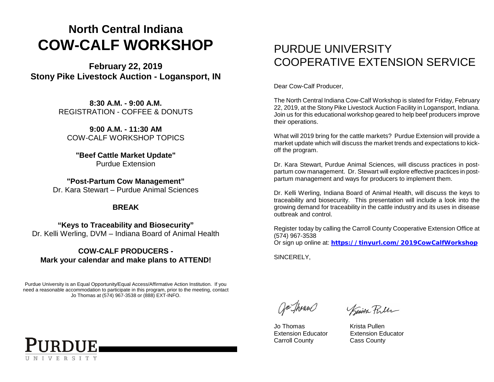## **North Central Indiana COW-CALF WORKSHOP**

**February 22, 2019 Stony Pike Livestock Auction - Logansport, IN**

> **8:30 A.M. - 9:00 A.M.** REGISTRATION - COFFEE & DONUTS

**9:00 A.M. - 11:30 AM** COW-CALF WORKSHOP TOPICS

**"Beef Cattle Market Update"** Purdue Extension

**"Post-Partum Cow Management"** Dr. Kara Stewart – Purdue Animal Sciences

#### **BREAK**

**"Keys to Traceability and Biosecurity"** Dr. Kelli Werling, DVM – Indiana Board of Animal Health

#### **COW-CALF PRODUCERS - Mark your calendar and make plans to ATTEND!**

Purdue University is an Equal Opportunity/Equal Access/Affirmative Action Institution. If you need a reasonable accommodation to participate in this program, prior to the meeting, contact Jo Thomas at (574) 967-3538 or (888) EXT-INFO.



### PURDUE UNIVERSITY COOPERATIVE EXTENSION SERVICE

Dear Cow-Calf Producer,

The North Central Indiana Cow-Calf Workshop is slated for Friday, February 22, 2019, at the Stony Pike Livestock Auction Facility in Logansport, Indiana. Join us for this educational workshop geared to help beef producers improve their operations.

What will 2019 bring for the cattle markets? Purdue Extension will provide a market update which will discuss the market trends and expectations to kickoff the program.

Dr. Kara Stewart, Purdue Animal Sciences, will discuss practices in postpartum cow management. Dr. Stewart will explore effective practices in postpartum management and ways for producers to implement them.

Dr. Kelli Werling, Indiana Board of Animal Health, will discuss the keys to traceability and biosecurity. This presentation will include a look into the growing demand for traceability in the cattle industry and its uses in disease outbreak and control.

Register today by calling the Carroll County Cooperative Extension Office at (574) 967-3538

Or sign up online at: **<https://tinyurl.com/2019CowCalfWorkshop>**

SINCERELY,

Jo Thoun

Jo Thomas Krista Pullen Extension Educator Extension Educator Carroll County Cass County

Kinsten Puller